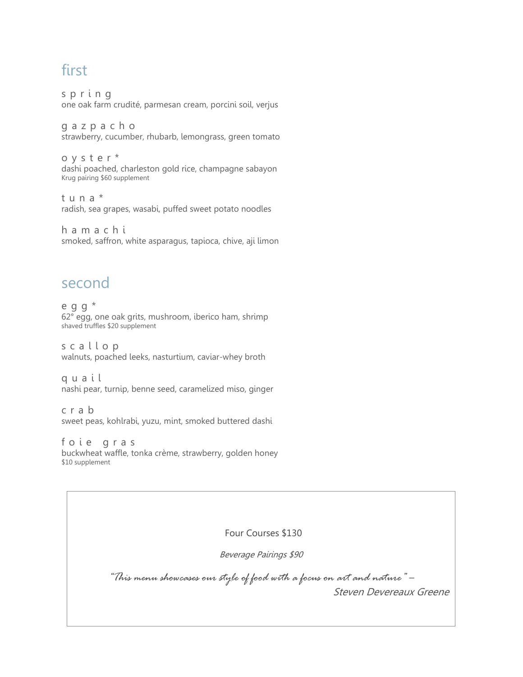# first

s p r i n g one oak farm crudité, parmesan cream, porcini soil, verjus

g a z p a c h o strawberry, cucumber, rhubarb, lemongrass, green tomato

o y s t e r \* dashi poached, charleston gold rice, champagne sabayon Krug pairing \$60 supplement

t u n a \* radish, sea grapes, wasabi, puffed sweet potato noodles

h a m a c h i smoked, saffron, white asparagus, tapioca, chive, aji limon

#### second

e g g \* 62° egg, one oak grits, mushroom, iberico ham, shrimp shaved truffles \$20 supplement

s c a l l o p walnuts, poached leeks, nasturtium, caviar-whey broth

q u a i l nashi pear, turnip, benne seed, caramelized miso, ginger

c r a b sweet peas, kohlrabi, yuzu, mint, smoked buttered dashi

f o i e g r a s buckwheat waffle, tonka crème, strawberry, golden honey \$10 supplement

Four Courses \$130

Beverage Pairings \$90

*"This menu showcases our style of food with a focus on art and nature"* – Steven Devereaux Greene